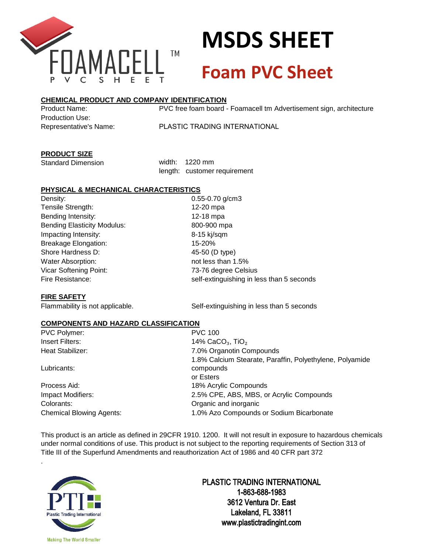

### **MSDS SHEET Foam PVC Sheet**

### **CHEMICAL PRODUCT AND COMPANY IDENTIFICATION**

Product Name: Production Use: Representative's Name: PVC free foam board - Foamacell tm Advertisement sign, architecture

PLASTIC TRADING INTERNATIONAL

### **PRODUCT SIZE**

Standard Dimension

width: 1220 mm length: customer requirement

### **PHYSICAL & MECHANICAL CHARACTERISTICS**

Density: 0.55-0.70 g/cm3 Tensile Strength: 12-20 mpa Bending Intensity: 12-18 mpa Bending Elasticity Modulus: 800-900 mpa Impacting Intensity: 8-15 kj/sqm Breakage Elongation: 15-20% Shore Hardness D: 45-50 (D type) Water Absorption:  $\frac{15\%}{1000}$ Vicar Softening Point: 73-76 degree Celsius

Fire Resistance: self-extinguishing in less than 5 seconds

#### **FIRE SAFETY**

Flammability is not applicable. Self-extinguishing in less than 5 seconds

### **COMPONENTS AND HAZARD CLASSIFICATION**

PVC Polymer: PVC 100

Lubricants:

.

Process Aid: 18% Acrylic Compounds Colorants: Organic and inorganic

Insert Filters: 14% CaCO<sub>3</sub>, TiO<sub>2</sub> Heat Stabilizer: 7.0% Organotin Compounds 1.8% Calcium Stearate, Paraffin, Polyethylene, Polyamide compounds or Esters Impact Modifiers: 2.5% CPE, ABS, MBS, or Acrylic Compounds Chemical Blowing Agents: 1.0% Azo Compounds or Sodium Bicarbonate

This product is an article as defined in 29CFR 1910. 1200. It will not result in exposure to hazardous chemicals under normal conditions of use. This product is not subject to the reporting requirements of Section 313 of Title III of the Superfund Amendments and reauthorization Act of 1986 and 40 CFR part 372

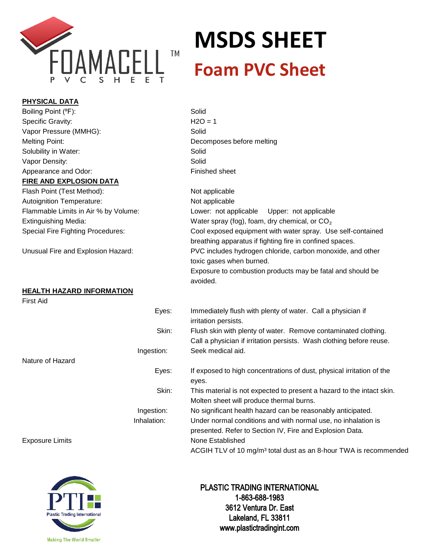

**PHYSICAL DATA**

# **MSDS SHEET**

| PHYSICAL DATA                            |                                                                                                                                        |
|------------------------------------------|----------------------------------------------------------------------------------------------------------------------------------------|
| Boiling Point (°F):                      | Solid                                                                                                                                  |
| Specific Gravity:                        | $H2O = 1$                                                                                                                              |
| Vapor Pressure (MMHG):                   | Solid                                                                                                                                  |
| <b>Melting Point:</b>                    | Decomposes before melting                                                                                                              |
| Solubility in Water:                     | Solid                                                                                                                                  |
| Vapor Density:                           | Solid                                                                                                                                  |
| Appearance and Odor:                     | Finished sheet                                                                                                                         |
| <u>FIRE AND EXPLOSION DATA</u>           |                                                                                                                                        |
| Flash Point (Test Method):               | Not applicable                                                                                                                         |
| <b>Autoignition Temperature:</b>         | Not applicable                                                                                                                         |
| Flammable Limits in Air % by Volume:     | Lower: not applicable<br>Upper: not applicable                                                                                         |
| <b>Extinguishing Media:</b>              | Water spray (fog), foam, dry chemical, or $CO2$                                                                                        |
| <b>Special Fire Fighting Procedures:</b> | Cool exposed equipment with water spray. Use self-contained<br>breathing apparatus if fighting fire in confined spaces.                |
| Unusual Fire and Explosion Hazard:       | PVC includes hydrogen chloride, carbon monoxide, and other<br>toxic gases when burned.                                                 |
|                                          | Exposure to combustion products may be fatal and should be<br>avoided.                                                                 |
| <b>HEALTH HAZARD INFORMATION</b>         |                                                                                                                                        |
| <b>First Aid</b>                         |                                                                                                                                        |
| Eyes:                                    | Immediately flush with plenty of water. Call a physician if<br>irritation persists.                                                    |
| Skin:                                    | Flush skin with plenty of water. Remove contaminated clothing.<br>Call a physician if irritation persists. Wash clothing before reuse. |
| Ingestion:                               | Seek medical aid.                                                                                                                      |
| Nature of Hazard                         |                                                                                                                                        |
| Eyes:                                    | If exposed to high concentrations of dust, physical irritation of the<br>eyes.                                                         |
| Skin:                                    | This material is not expected to present a hazard to the intact skin.<br>Molten sheet will produce thermal burns.                      |
| Ingestion:                               | No significant health hazard can be reasonably anticipated.                                                                            |
| Inhalation:                              | Under normal conditions and with normal use, no inhalation is<br>presented. Refer to Section IV, Fire and Explosion Data.              |
| <b>Exposure Limits</b>                   | None Established<br>ACGIH TLV of 10 mg/m <sup>3</sup> total dust as an 8-hour TWA is recommended                                       |

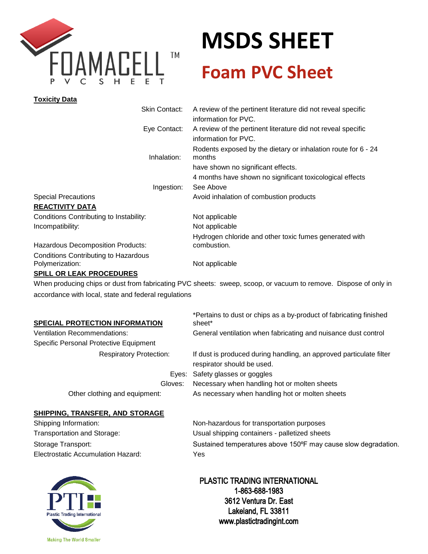

## **MSDS SHEET Foam PVC Sheet**

| <b>Toxicity Data</b>                                           |                                                                                                                 |
|----------------------------------------------------------------|-----------------------------------------------------------------------------------------------------------------|
| Skin Contact:                                                  | A review of the pertinent literature did not reveal specific<br>information for PVC.                            |
| Eye Contact:                                                   | A review of the pertinent literature did not reveal specific<br>information for PVC.                            |
| Inhalation:                                                    | Rodents exposed by the dietary or inhalation route for 6 - 24<br>months                                         |
|                                                                | have shown no significant effects.                                                                              |
|                                                                | 4 months have shown no significant toxicological effects                                                        |
| Ingestion:                                                     | See Above                                                                                                       |
| <b>Special Precautions</b>                                     | Avoid inhalation of combustion products                                                                         |
| <b>REACTIVITY DATA</b>                                         |                                                                                                                 |
| Conditions Contributing to Instability:                        | Not applicable                                                                                                  |
| Incompatibility:                                               | Not applicable                                                                                                  |
|                                                                | Hydrogen chloride and other toxic fumes generated with<br>combustion.                                           |
| Hazardous Decomposition Products:                              |                                                                                                                 |
| <b>Conditions Contributing to Hazardous</b><br>Polymerization: | Not applicable                                                                                                  |
| <b>SPILL OR LEAK PROCEDURES</b>                                |                                                                                                                 |
|                                                                | When producing chips or dust from fabricating PVC sheets: sweep, scoop, or vacuum to remove. Dispose of only in |
| accordance with local, state and federal regulations           |                                                                                                                 |
|                                                                | *Pertains to dust or chips as a by-product of fabricating finished                                              |
| <b>SPECIAL PROTECTION INFORMATION</b>                          | sheet*                                                                                                          |
| <b>Ventilation Recommendations:</b>                            | General ventilation when fabricating and nuisance dust control                                                  |
| Specific Personal Protective Equipment                         |                                                                                                                 |
| <b>Respiratory Protection:</b>                                 | If dust is produced during handling, an approved particulate filter                                             |

|                               | respirator should be used.                      |
|-------------------------------|-------------------------------------------------|
|                               | Eyes: Safety glasses or goggles                 |
| Gloves:                       | Necessary when handling hot or molten sheets    |
| Other clothing and equipment: | As necessary when handling hot or molten sheets |

### **SHIPPING, TRANSFER, AND STORAGE**

| Shipping Information:              | Non-hazardous for transportation purposes                      |
|------------------------------------|----------------------------------------------------------------|
| Transportation and Storage:        | Usual shipping containers - palletized sheets                  |
| Storage Transport:                 | Sustained temperatures above 150°F may cause slow degradation. |
| Electrostatic Accumulation Hazard: | Yes                                                            |
|                                    |                                                                |